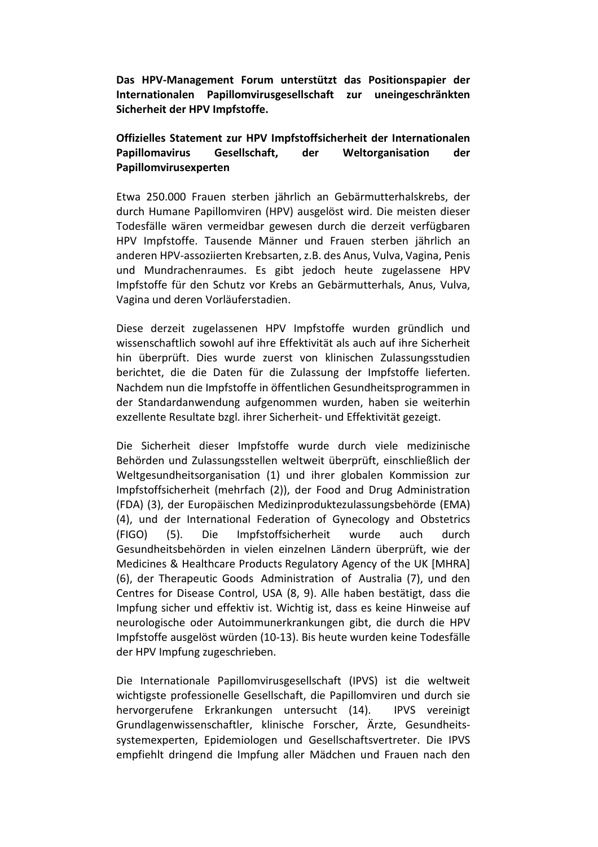**Das HPV-Management Forum unterstützt das Positionspapier der Internationalen Papillomvirusgesellschaft zur uneingeschränkten Sicherheit der HPV Impfstoffe.** 

## **Offizielles Statement zur HPV Impfstoffsicherheit der Internationalen Papillomavirus Gesellschaft, der Weltorganisation der Papillomvirusexperten**

Etwa 250.000 Frauen sterben jährlich an Gebärmutterhalskrebs, der durch Humane Papillomviren (HPV) ausgelöst wird. Die meisten dieser Todesfälle wären vermeidbar gewesen durch die derzeit verfügbaren HPV Impfstoffe. Tausende Männer und Frauen sterben jährlich an anderen HPV-assoziierten Krebsarten, z.B. des Anus, Vulva, Vagina, Penis und Mundrachenraumes. Es gibt jedoch heute zugelassene HPV Impfstoffe für den Schutz vor Krebs an Gebärmutterhals, Anus, Vulva, Vagina und deren Vorläuferstadien.

Diese derzeit zugelassenen HPV Impfstoffe wurden gründlich und wissenschaftlich sowohl auf ihre Effektivität als auch auf ihre Sicherheit hin überprüft. Dies wurde zuerst von klinischen Zulassungsstudien berichtet, die die Daten für die Zulassung der Impfstoffe lieferten. Nachdem nun die Impfstoffe in öffentlichen Gesundheitsprogrammen in der Standardanwendung aufgenommen wurden, haben sie weiterhin exzellente Resultate bzgl. ihrer Sicherheit- und Effektivität gezeigt.

Die Sicherheit dieser Impfstoffe wurde durch viele medizinische Behörden und Zulassungsstellen weltweit überprüft, einschließlich der Weltgesundheitsorganisation (1) und ihrer globalen Kommission zur Impfstoffsicherheit (mehrfach (2)), der Food and Drug Administration (FDA) (3), der Europäischen Medizinproduktezulassungsbehörde (EMA) (4), und der International Federation of Gynecology and Obstetrics (FIGO) (5). Die Impfstoffsicherheit wurde auch durch Gesundheitsbehörden in vielen einzelnen Ländern überprüft, wie der Medicines & Healthcare Products Regulatory Agency of the UK [MHRA] (6), der Therapeutic Goods Administration of Australia (7), und den Centres for Disease Control, USA (8, 9). Alle haben bestätigt, dass die Impfung sicher und effektiv ist. Wichtig ist, dass es keine Hinweise auf neurologische oder Autoimmunerkrankungen gibt, die durch die HPV Impfstoffe ausgelöst würden (10-13). Bis heute wurden keine Todesfälle der HPV Impfung zugeschrieben.

Die Internationale Papillomvirusgesellschaft (IPVS) ist die weltweit wichtigste professionelle Gesellschaft, die Papillomviren und durch sie hervorgerufene Erkrankungen untersucht (14). IPVS vereinigt Grundlagenwissenschaftler, klinische Forscher, Ärzte, Gesundheitssystemexperten, Epidemiologen und Gesellschaftsvertreter. Die IPVS empfiehlt dringend die Impfung aller Mädchen und Frauen nach den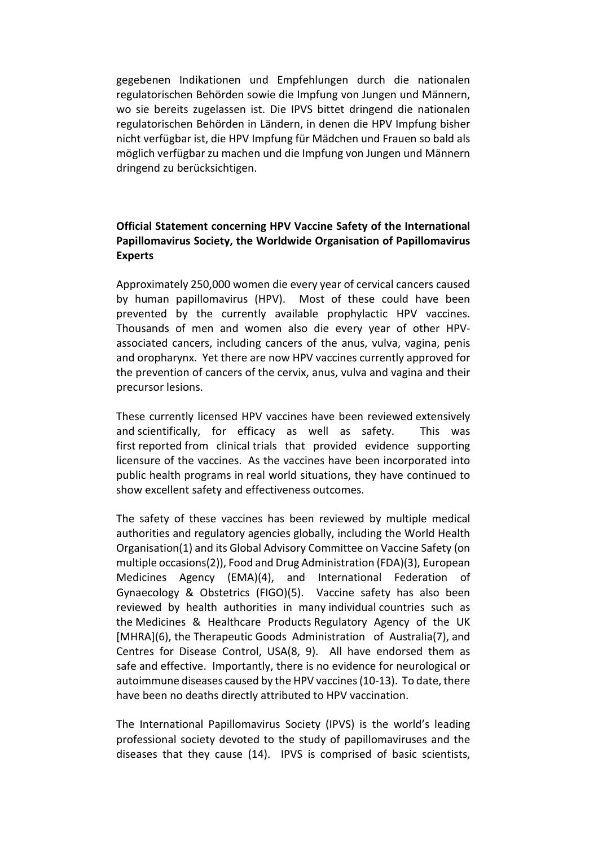gegebenen Indikationen und Empfehlungen durch die nationalen regulatorischen Behörden sowie die Impfung von Jungen und Männern, wo sie bereits zugelassen ist. Die IPVS bittet dringend die nationalen regulatorischen Behörden in Ländern, in denen die HPV Impfung bisher nicht verfügbar ist, die HPV Impfung für Mädchen und Frauen so bald als möglich verfügbar zu machen und die Impfung von Jungen und Männern dringend zu berücksichtigen.

# **Official Statement concerning HPV Vaccine Safety of the International Papillomavirus Society, the Worldwide Organisation of Papillomavirus Experts**

Approximately 250,000 women die every year of cervical cancers caused by human papillomavirus (HPV). Most of these could have been prevented by the currently available prophylactic HPV vaccines. Thousands of men and women also die every year of other HPVassociated cancers, including cancers of the anus, vulva, vagina, penis and oropharynx. Yet there are now HPV vaccines currently approved for the prevention of cancers of the cervix, anus, vulva and vagina and their precursor lesions.

These currently licensed HPV vaccines have been reviewed extensively and scientifically, for efficacy as well as safety. This was first reported from clinical trials that provided evidence supporting licensure of the vaccines. As the vaccines have been incorporated into public health programs in real world situations, they have continued to show excellent safety and effectiveness outcomes.

The safety of these vaccines has been reviewed by multiple medical authorities and regulatory agencies globally, including the World Health Organisation(1) and its Global Advisory Committee on Vaccine Safety (on multiple occasions(2)), Food and Drug Administration (FDA)(3), European Medicines Agency (EMA)(4), and International Federation of Gynaecology & Obstetrics (FIGO)(5). Vaccine safety has also been reviewed by health authorities in many individual countries such as the Medicines & Healthcare Products Regulatory Agency of the UK [MHRA](6), the Therapeutic Goods Administration of Australia(7), and Centres for Disease Control, USA(8, 9). All have endorsed them as safe and effective. Importantly, there is no evidence for neurological or autoimmune diseases caused by the HPV vaccines (10-13). To date, there have been no deaths directly attributed to HPV vaccination.

The International Papillomavirus Society (IPVS) is the world's leading professional society devoted to the study of papillomaviruses and the diseases that they cause (14). IPVS is comprised of basic scientists,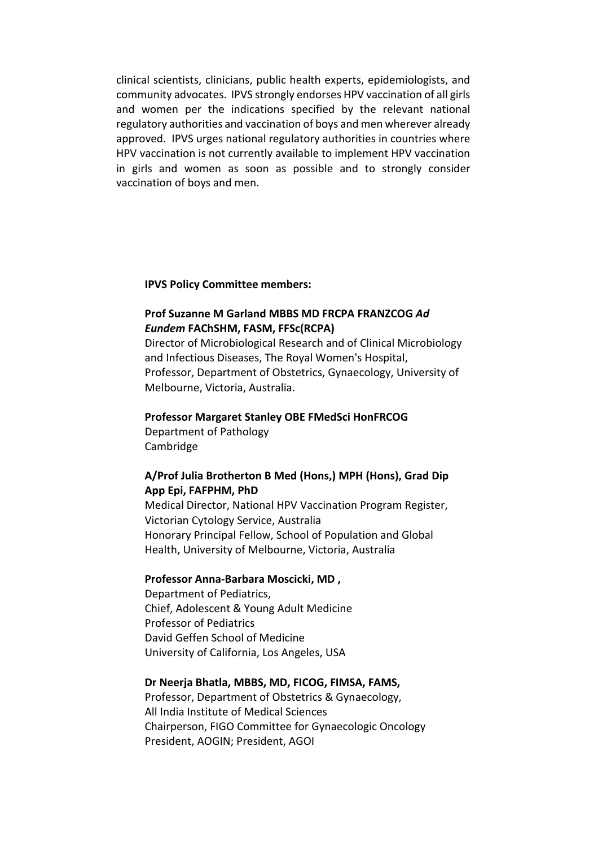clinical scientists, clinicians, public health experts, epidemiologists, and community advocates. IPVS strongly endorses HPV vaccination of all girls and women per the indications specified by the relevant national regulatory authorities and vaccination of boys and men wherever already approved. IPVS urges national regulatory authorities in countries where HPV vaccination is not currently available to implement HPV vaccination in girls and women as soon as possible and to strongly consider vaccination of boys and men.

#### **IPVS Policy Committee members:**

# **Prof Suzanne M Garland MBBS MD FRCPA FRANZCOG** *Ad Eundem* **FAChSHM, FASM, FFSc(RCPA)**

Director of Microbiological Research and of Clinical Microbiology and Infectious Diseases, The Royal Women's Hospital, Professor, Department of Obstetrics, Gynaecology, University of Melbourne, Victoria, Australia.

#### **Professor Margaret Stanley OBE FMedSci HonFRCOG**

Department of Pathology Cambridge

### **A/Prof Julia Brotherton B Med (Hons,) MPH (Hons), Grad Dip App Epi, FAFPHM, PhD**

Medical Director, National HPV Vaccination Program Register, Victorian Cytology Service, Australia Honorary Principal Fellow, School of Population and Global Health, University of Melbourne, Victoria, Australia

### **Professor Anna-Barbara Moscicki, MD ,**

Department of Pediatrics, Chief, Adolescent & Young Adult Medicine Professor of Pediatrics David Geffen School of Medicine University of California, Los Angeles, USA

#### **Dr Neerja Bhatla, MBBS, MD, FICOG, FIMSA, FAMS,**

Professor, Department of Obstetrics & Gynaecology, All India Institute of Medical Sciences Chairperson, FIGO Committee for Gynaecologic Oncology President, AOGIN; President, AGOI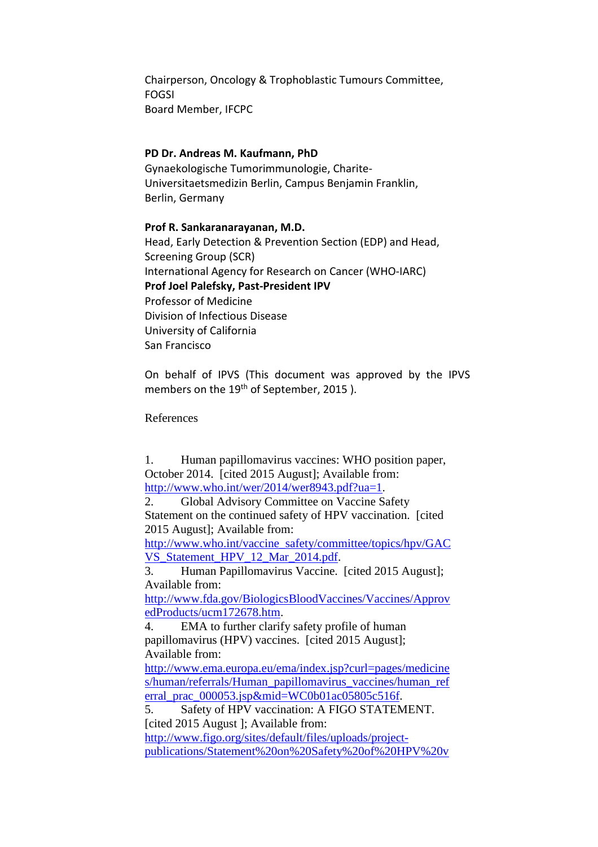Chairperson, Oncology & Trophoblastic Tumours Committee, FOGSI Board Member, IFCPC

### **PD Dr. Andreas M. Kaufmann, PhD**

Gynaekologische Tumorimmunologie, Charite-Universitaetsmedizin Berlin, Campus Benjamin Franklin, Berlin, Germany

## **Prof R. Sankaranarayanan, M.D.**

Head, Early Detection & Prevention Section (EDP) and Head, Screening Group (SCR) International Agency for Research on Cancer (WHO-IARC) **Prof Joel Palefsky, Past-President IPV**  Professor of Medicine Division of Infectious Disease University of California San Francisco

On behalf of IPVS (This document was approved by the IPVS members on the 19<sup>th</sup> of September, 2015).

References

1. Human papillomavirus vaccines: WHO position paper, October 2014. [cited 2015 August]; Available from: http://www.who.int/wer/2014/wer8943.pdf?ua=1.

2. Global Advisory Committee on Vaccine Safety Statement on the continued safety of HPV vaccination. [cited 2015 August]; Available from:

http://www.who.int/vaccine\_safety/committee/topics/hpv/GAC VS Statement HPV 12 Mar 2014.pdf.

3. Human Papillomavirus Vaccine. [cited 2015 August]; Available from:

http://www.fda.gov/BiologicsBloodVaccines/Vaccines/Approv edProducts/ucm172678.htm.

4. EMA to further clarify safety profile of human papillomavirus (HPV) vaccines. [cited 2015 August]; Available from:

http://www.ema.europa.eu/ema/index.jsp?curl=pages/medicine s/human/referrals/Human\_papillomavirus\_vaccines/human\_ref erral\_prac\_000053.jsp&mid=WC0b01ac05805c516f.

5. Safety of HPV vaccination: A FIGO STATEMENT. [cited 2015 August]; Available from:

http://www.figo.org/sites/default/files/uploads/projectpublications/Statement%20on%20Safety%20of%20HPV%20v